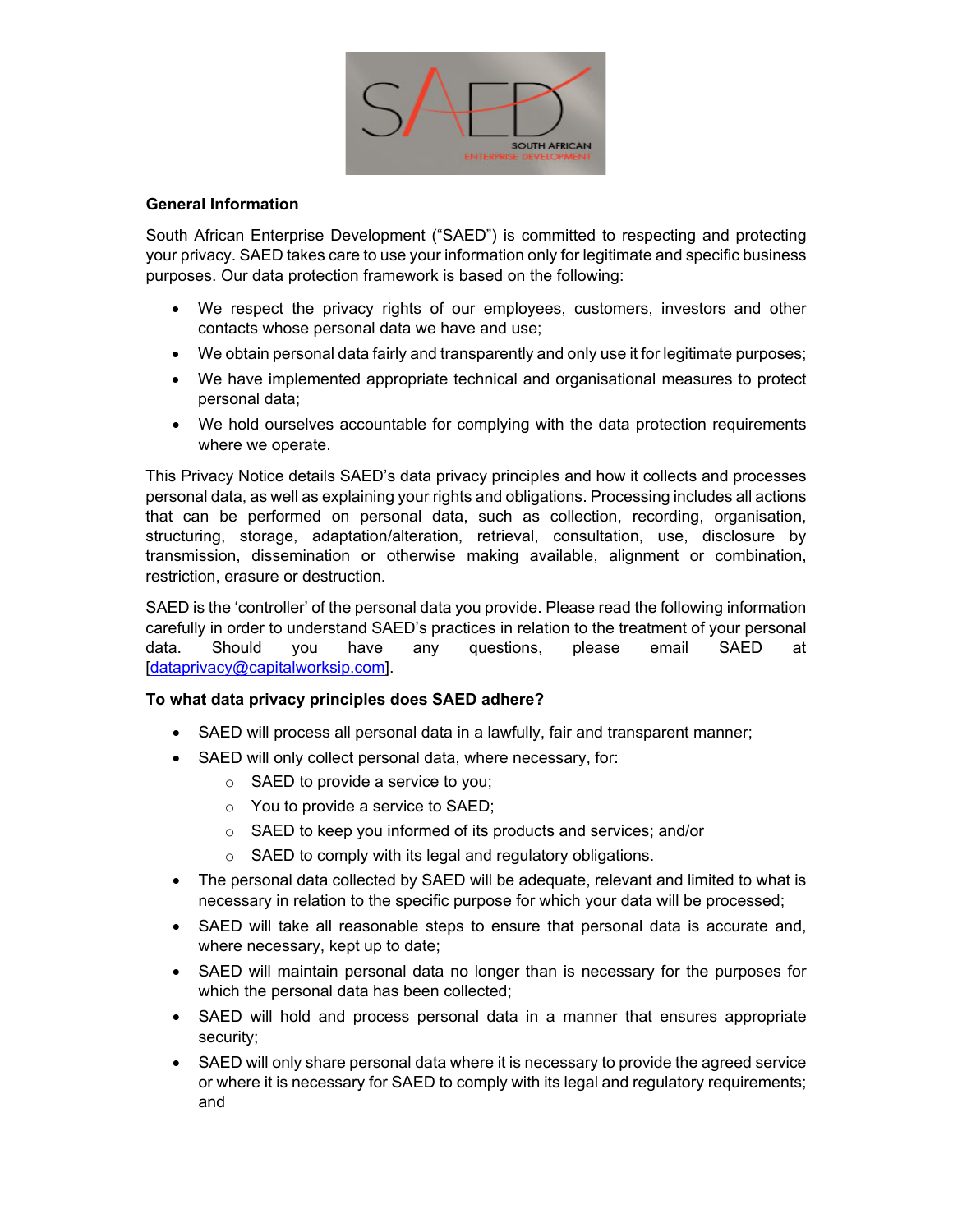

## **General Information**

South African Enterprise Development ("SAED") is committed to respecting and protecting your privacy. SAED takes care to use your information only for legitimate and specific business purposes. Our data protection framework is based on the following:

- We respect the privacy rights of our employees, customers, investors and other contacts whose personal data we have and use;
- We obtain personal data fairly and transparently and only use it for legitimate purposes;
- We have implemented appropriate technical and organisational measures to protect personal data;
- We hold ourselves accountable for complying with the data protection requirements where we operate.

This Privacy Notice details SAED's data privacy principles and how it collects and processes personal data, as well as explaining your rights and obligations. Processing includes all actions that can be performed on personal data, such as collection, recording, organisation, structuring, storage, adaptation/alteration, retrieval, consultation, use, disclosure by transmission, dissemination or otherwise making available, alignment or combination, restriction, erasure or destruction.

SAED is the 'controller' of the personal data you provide. Please read the following information carefully in order to understand SAED's practices in relation to the treatment of your personal data. Should you have any questions, please email SAED at [dataprivacy@capitalworksip.com].

## **To what data privacy principles does SAED adhere?**

- SAED will process all personal data in a lawfully, fair and transparent manner;
- SAED will only collect personal data, where necessary, for:
	- $\circ$  SAED to provide a service to you;
	- o You to provide a service to SAED;
	- o SAED to keep you informed of its products and services; and/or
	- o SAED to comply with its legal and regulatory obligations.
- The personal data collected by SAED will be adequate, relevant and limited to what is necessary in relation to the specific purpose for which your data will be processed;
- SAED will take all reasonable steps to ensure that personal data is accurate and, where necessary, kept up to date;
- SAED will maintain personal data no longer than is necessary for the purposes for which the personal data has been collected;
- SAED will hold and process personal data in a manner that ensures appropriate security;
- SAED will only share personal data where it is necessary to provide the agreed service or where it is necessary for SAED to comply with its legal and regulatory requirements; and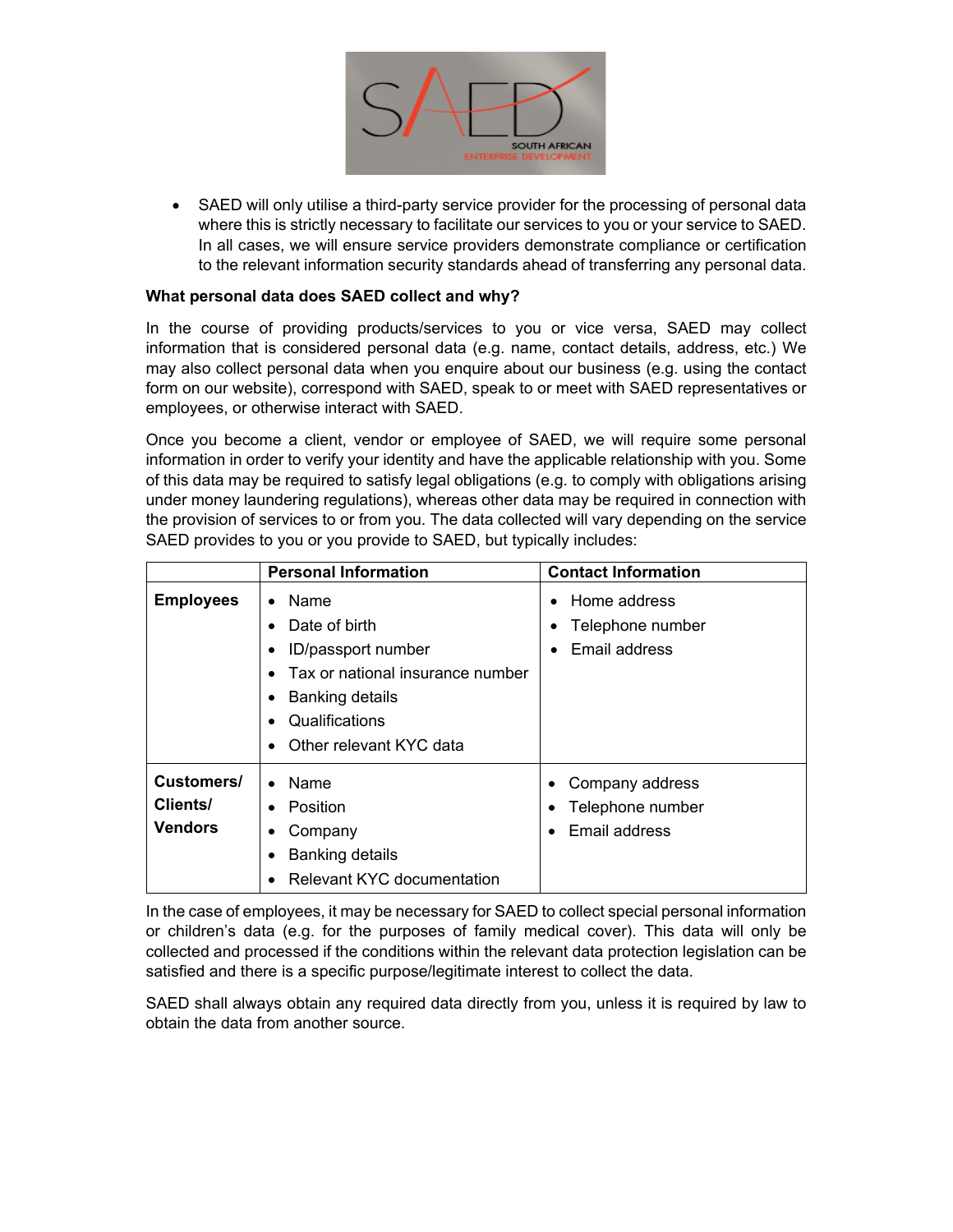

 SAED will only utilise a third-party service provider for the processing of personal data where this is strictly necessary to facilitate our services to you or your service to SAED. In all cases, we will ensure service providers demonstrate compliance or certification to the relevant information security standards ahead of transferring any personal data.

# **What personal data does SAED collect and why?**

In the course of providing products/services to you or vice versa, SAED may collect information that is considered personal data (e.g. name, contact details, address, etc.) We may also collect personal data when you enquire about our business (e.g. using the contact form on our website), correspond with SAED, speak to or meet with SAED representatives or employees, or otherwise interact with SAED.

Once you become a client, vendor or employee of SAED, we will require some personal information in order to verify your identity and have the applicable relationship with you. Some of this data may be required to satisfy legal obligations (e.g. to comply with obligations arising under money laundering regulations), whereas other data may be required in connection with the provision of services to or from you. The data collected will vary depending on the service SAED provides to you or you provide to SAED, but typically includes:

|                                          | <b>Personal Information</b>                                                                                                                                                                                     | <b>Contact Information</b>                                |
|------------------------------------------|-----------------------------------------------------------------------------------------------------------------------------------------------------------------------------------------------------------------|-----------------------------------------------------------|
| <b>Employees</b>                         | Name<br>$\bullet$<br>Date of birth<br>$\bullet$<br>ID/passport number<br>$\bullet$<br>Tax or national insurance number<br><b>Banking details</b><br>٠<br>Qualifications<br>$\bullet$<br>Other relevant KYC data | Home address<br>Telephone number<br>Email address         |
| Customers/<br>Clients/<br><b>Vendors</b> | Name<br>Position<br>٠<br>Company<br>٠<br><b>Banking details</b><br>٠<br><b>Relevant KYC documentation</b>                                                                                                       | Company address<br>٠<br>Telephone number<br>Email address |

In the case of employees, it may be necessary for SAED to collect special personal information or children's data (e.g. for the purposes of family medical cover). This data will only be collected and processed if the conditions within the relevant data protection legislation can be satisfied and there is a specific purpose/legitimate interest to collect the data.

SAED shall always obtain any required data directly from you, unless it is required by law to obtain the data from another source.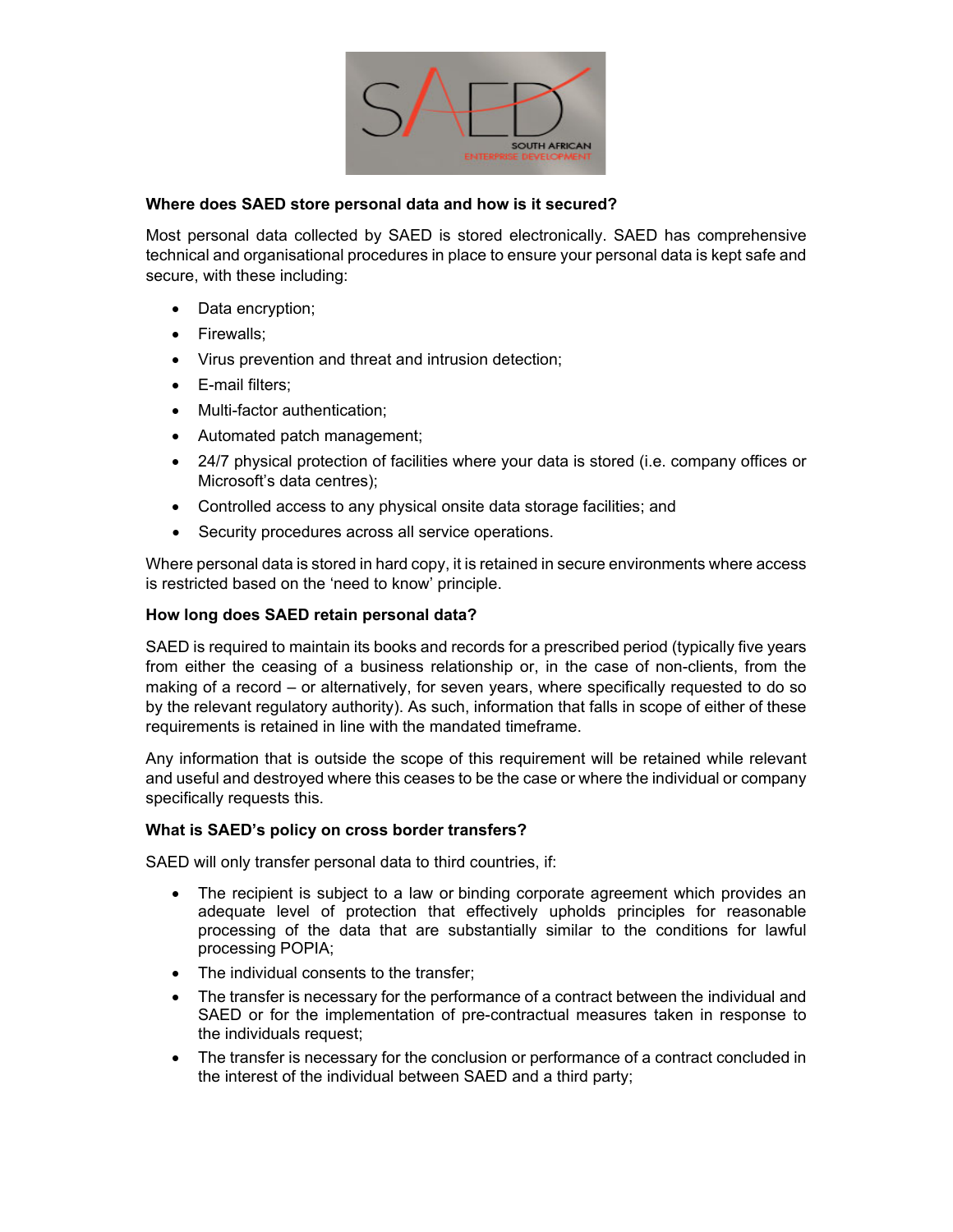

#### **Where does SAED store personal data and how is it secured?**

Most personal data collected by SAED is stored electronically. SAED has comprehensive technical and organisational procedures in place to ensure your personal data is kept safe and secure, with these including:

- Data encryption;
- Firewalls:
- Virus prevention and threat and intrusion detection;
- E-mail filters:
- Multi-factor authentication;
- Automated patch management;
- 24/7 physical protection of facilities where your data is stored (i.e. company offices or Microsoft's data centres);
- Controlled access to any physical onsite data storage facilities; and
- Security procedures across all service operations.

Where personal data is stored in hard copy, it is retained in secure environments where access is restricted based on the 'need to know' principle.

#### **How long does SAED retain personal data?**

SAED is required to maintain its books and records for a prescribed period (typically five years from either the ceasing of a business relationship or, in the case of non-clients, from the making of a record – or alternatively, for seven years, where specifically requested to do so by the relevant regulatory authority). As such, information that falls in scope of either of these requirements is retained in line with the mandated timeframe.

Any information that is outside the scope of this requirement will be retained while relevant and useful and destroyed where this ceases to be the case or where the individual or company specifically requests this.

#### **What is SAED's policy on cross border transfers?**

SAED will only transfer personal data to third countries, if:

- The recipient is subject to a law or binding corporate agreement which provides an adequate level of protection that effectively upholds principles for reasonable processing of the data that are substantially similar to the conditions for lawful processing POPIA;
- The individual consents to the transfer;
- The transfer is necessary for the performance of a contract between the individual and SAED or for the implementation of pre-contractual measures taken in response to the individuals request;
- The transfer is necessary for the conclusion or performance of a contract concluded in the interest of the individual between SAED and a third party;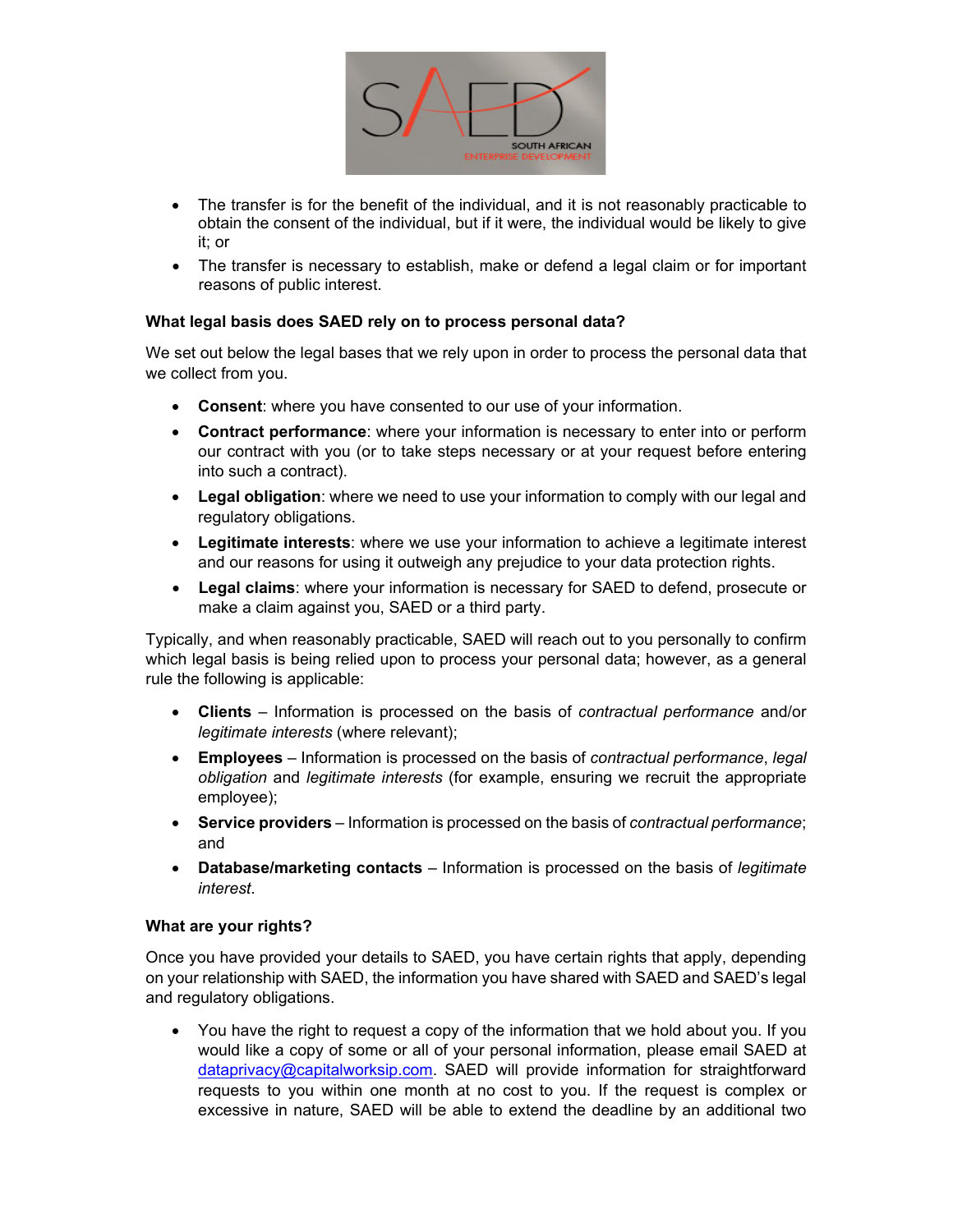

- The transfer is for the benefit of the individual, and it is not reasonably practicable to obtain the consent of the individual, but if it were, the individual would be likely to give it; or
- The transfer is necessary to establish, make or defend a legal claim or for important reasons of public interest.

## **What legal basis does SAED rely on to process personal data?**

We set out below the legal bases that we rely upon in order to process the personal data that we collect from you.

- **Consent**: where you have consented to our use of your information.
- **Contract performance**: where your information is necessary to enter into or perform our contract with you (or to take steps necessary or at your request before entering into such a contract).
- **Legal obligation**: where we need to use your information to comply with our legal and regulatory obligations.
- **Legitimate interests**: where we use your information to achieve a legitimate interest and our reasons for using it outweigh any prejudice to your data protection rights.
- **Legal claims**: where your information is necessary for SAED to defend, prosecute or make a claim against you, SAED or a third party.

Typically, and when reasonably practicable, SAED will reach out to you personally to confirm which legal basis is being relied upon to process your personal data; however, as a general rule the following is applicable:

- **Clients** Information is processed on the basis of *contractual performance* and/or *legitimate interests* (where relevant);
- **Employees**  Information is processed on the basis of *contractual performance*, *legal obligation* and *legitimate interests* (for example, ensuring we recruit the appropriate employee);
- **Service providers** Information is processed on the basis of *contractual performance*; and
- **Database/marketing contacts** Information is processed on the basis of *legitimate interest*.

## **What are your rights?**

Once you have provided your details to SAED, you have certain rights that apply, depending on your relationship with SAED, the information you have shared with SAED and SAED's legal and regulatory obligations.

 You have the right to request a copy of the information that we hold about you. If you would like a copy of some or all of your personal information, please email SAED at dataprivacy@capitalworksip.com. SAED will provide information for straightforward requests to you within one month at no cost to you. If the request is complex or excessive in nature, SAED will be able to extend the deadline by an additional two